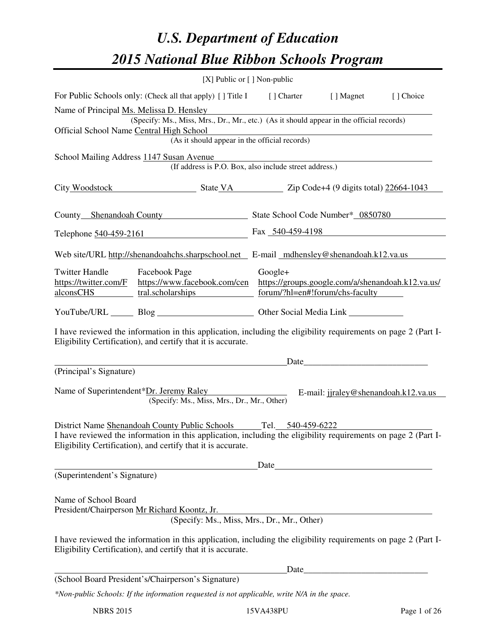# *U.S. Department of Education 2015 National Blue Ribbon Schools Program*

|                                                                                                                                                                                | [X] Public or [] Non-public                                                                                                                                                        |                                         |      |                                                   |  |  |  |
|--------------------------------------------------------------------------------------------------------------------------------------------------------------------------------|------------------------------------------------------------------------------------------------------------------------------------------------------------------------------------|-----------------------------------------|------|---------------------------------------------------|--|--|--|
|                                                                                                                                                                                | For Public Schools only: (Check all that apply) [] Title I [] Charter [] Magnet                                                                                                    |                                         |      | [] Choice                                         |  |  |  |
|                                                                                                                                                                                | Name of Principal Ms. Melissa D. Hensley                                                                                                                                           | <u> 1989 - Johann Barbara, martxa a</u> |      |                                                   |  |  |  |
| (Specify: Ms., Miss, Mrs., Dr., Mr., etc.) (As it should appear in the official records)<br>Official School Name Central High School                                           |                                                                                                                                                                                    |                                         |      |                                                   |  |  |  |
| igh School<br>(As it should appear in the official records)                                                                                                                    |                                                                                                                                                                                    |                                         |      |                                                   |  |  |  |
|                                                                                                                                                                                | School Mailing Address 1147 Susan Avenue                                                                                                                                           |                                         |      |                                                   |  |  |  |
|                                                                                                                                                                                | usan Avenue<br>(If address is P.O. Box, also include street address.)                                                                                                              |                                         |      |                                                   |  |  |  |
|                                                                                                                                                                                | City Woodstock State VA Zip Code+4 (9 digits total) 22664-1043                                                                                                                     |                                         |      |                                                   |  |  |  |
|                                                                                                                                                                                | County Shenandoah County State School Code Number* 0850780                                                                                                                         |                                         |      |                                                   |  |  |  |
|                                                                                                                                                                                | Telephone 540-459-2161 Fax 540-459-4198                                                                                                                                            |                                         |      |                                                   |  |  |  |
|                                                                                                                                                                                | Web site/URL http://shenandoahchs.sharpschool.net E-mail mdhensley@shenandoah.k12.va.us                                                                                            |                                         |      |                                                   |  |  |  |
| <b>Twitter Handle</b>                                                                                                                                                          | Facebook Page                                                                                                                                                                      | Google+                                 |      |                                                   |  |  |  |
| https://twitter.com/F                                                                                                                                                          | https://www.facebook.com/cen                                                                                                                                                       |                                         |      | https://groups.google.com/a/shenandoah.k12.va.us/ |  |  |  |
| alconsCHS                                                                                                                                                                      | tral.scholarships                                                                                                                                                                  | forum/?hl=en#!forum/chs-faculty         |      |                                                   |  |  |  |
|                                                                                                                                                                                | YouTube/URL Blog Blog Cher Social Media Link                                                                                                                                       |                                         |      |                                                   |  |  |  |
| I have reviewed the information in this application, including the eligibility requirements on page 2 (Part I-<br>Eligibility Certification), and certify that it is accurate. |                                                                                                                                                                                    |                                         |      |                                                   |  |  |  |
|                                                                                                                                                                                | <u> 1980 - Johann Barn, mars an t-Amerikaansk ferskeizh (</u>                                                                                                                      |                                         |      |                                                   |  |  |  |
| (Principal's Signature)                                                                                                                                                        |                                                                                                                                                                                    |                                         |      |                                                   |  |  |  |
|                                                                                                                                                                                | Name of Superintendent*Dr. Jeremy Raley<br>E-mail: jjraley@shenandoah.k12.va.us                                                                                                    |                                         |      |                                                   |  |  |  |
|                                                                                                                                                                                | (Specify: Ms., Miss, Mrs., Dr., Mr., Other)                                                                                                                                        |                                         |      |                                                   |  |  |  |
|                                                                                                                                                                                |                                                                                                                                                                                    |                                         |      |                                                   |  |  |  |
|                                                                                                                                                                                | District Name Shenandoah County Public Schools Tel. 540-459-6222<br>I have reviewed the information in this application, including the eligibility requirements on page 2 (Part I- |                                         |      |                                                   |  |  |  |
|                                                                                                                                                                                | Eligibility Certification), and certify that it is accurate.                                                                                                                       |                                         |      |                                                   |  |  |  |
|                                                                                                                                                                                |                                                                                                                                                                                    |                                         |      |                                                   |  |  |  |
| (Superintendent's Signature)                                                                                                                                                   |                                                                                                                                                                                    |                                         |      |                                                   |  |  |  |
|                                                                                                                                                                                |                                                                                                                                                                                    |                                         |      |                                                   |  |  |  |
| Name of School Board                                                                                                                                                           | President/Chairperson Mr Richard Koontz, Jr.                                                                                                                                       |                                         |      |                                                   |  |  |  |
|                                                                                                                                                                                | (Specify: Ms., Miss, Mrs., Dr., Mr., Other)                                                                                                                                        |                                         |      |                                                   |  |  |  |
|                                                                                                                                                                                |                                                                                                                                                                                    |                                         |      |                                                   |  |  |  |
|                                                                                                                                                                                | I have reviewed the information in this application, including the eligibility requirements on page 2 (Part I-<br>Eligibility Certification), and certify that it is accurate.     |                                         |      |                                                   |  |  |  |
|                                                                                                                                                                                |                                                                                                                                                                                    |                                         | Date |                                                   |  |  |  |
|                                                                                                                                                                                | (School Board President's/Chairperson's Signature)                                                                                                                                 |                                         |      |                                                   |  |  |  |
|                                                                                                                                                                                | *Non-public Schools: If the information requested is not applicable, write N/A in the space.                                                                                       |                                         |      |                                                   |  |  |  |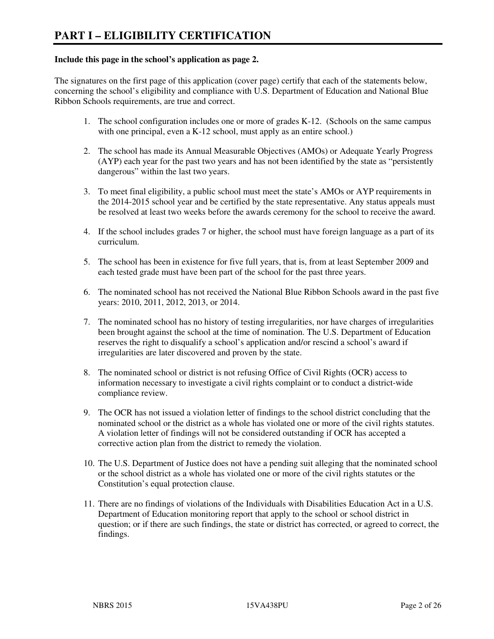## **Include this page in the school's application as page 2.**

The signatures on the first page of this application (cover page) certify that each of the statements below, concerning the school's eligibility and compliance with U.S. Department of Education and National Blue Ribbon Schools requirements, are true and correct.

- 1. The school configuration includes one or more of grades K-12. (Schools on the same campus with one principal, even a K-12 school, must apply as an entire school.)
- 2. The school has made its Annual Measurable Objectives (AMOs) or Adequate Yearly Progress (AYP) each year for the past two years and has not been identified by the state as "persistently dangerous" within the last two years.
- 3. To meet final eligibility, a public school must meet the state's AMOs or AYP requirements in the 2014-2015 school year and be certified by the state representative. Any status appeals must be resolved at least two weeks before the awards ceremony for the school to receive the award.
- 4. If the school includes grades 7 or higher, the school must have foreign language as a part of its curriculum.
- 5. The school has been in existence for five full years, that is, from at least September 2009 and each tested grade must have been part of the school for the past three years.
- 6. The nominated school has not received the National Blue Ribbon Schools award in the past five years: 2010, 2011, 2012, 2013, or 2014.
- 7. The nominated school has no history of testing irregularities, nor have charges of irregularities been brought against the school at the time of nomination. The U.S. Department of Education reserves the right to disqualify a school's application and/or rescind a school's award if irregularities are later discovered and proven by the state.
- 8. The nominated school or district is not refusing Office of Civil Rights (OCR) access to information necessary to investigate a civil rights complaint or to conduct a district-wide compliance review.
- 9. The OCR has not issued a violation letter of findings to the school district concluding that the nominated school or the district as a whole has violated one or more of the civil rights statutes. A violation letter of findings will not be considered outstanding if OCR has accepted a corrective action plan from the district to remedy the violation.
- 10. The U.S. Department of Justice does not have a pending suit alleging that the nominated school or the school district as a whole has violated one or more of the civil rights statutes or the Constitution's equal protection clause.
- 11. There are no findings of violations of the Individuals with Disabilities Education Act in a U.S. Department of Education monitoring report that apply to the school or school district in question; or if there are such findings, the state or district has corrected, or agreed to correct, the findings.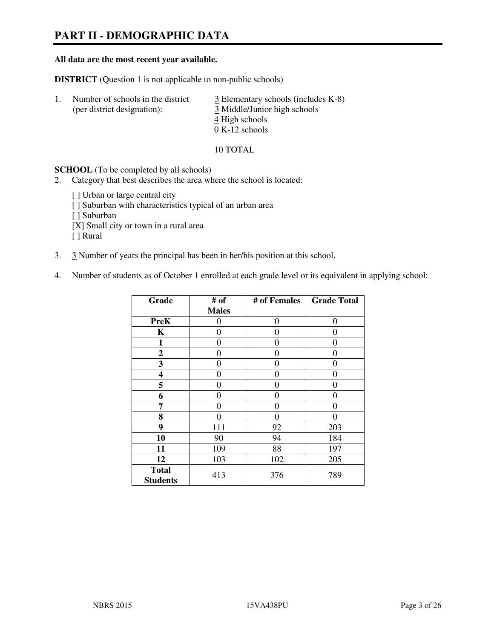# **PART II - DEMOGRAPHIC DATA**

#### **All data are the most recent year available.**

**DISTRICT** (Question 1 is not applicable to non-public schools)

| -1. | Number of schools in the district<br>(per district designation): | $\frac{3}{2}$ Elementary schools (includes K-8)<br>3 Middle/Junior high schools |
|-----|------------------------------------------------------------------|---------------------------------------------------------------------------------|
|     |                                                                  | 4 High schools                                                                  |
|     |                                                                  | $0 K-12$ schools                                                                |

10 TOTAL

**SCHOOL** (To be completed by all schools)

- 2. Category that best describes the area where the school is located:
	- [ ] Urban or large central city [ ] Suburban with characteristics typical of an urban area [ ] Suburban [X] Small city or town in a rural area [ ] Rural
- 3. 3 Number of years the principal has been in her/his position at this school.
- 4. Number of students as of October 1 enrolled at each grade level or its equivalent in applying school:

| Grade                           | # of         | # of Females | <b>Grade Total</b> |
|---------------------------------|--------------|--------------|--------------------|
|                                 | <b>Males</b> |              |                    |
| <b>PreK</b>                     | 0            | 0            | $\theta$           |
| K                               | 0            | 0            | $\theta$           |
| 1                               | 0            | 0            | 0                  |
| $\boldsymbol{2}$                | 0            | 0            | 0                  |
| 3                               | 0            | 0            | 0                  |
| 4                               | 0            | 0            | 0                  |
| 5                               | 0            | 0            | $\theta$           |
| 6                               | 0            | 0            | 0                  |
| 7                               | 0            | 0            | $\Omega$           |
| 8                               | 0            | 0            | 0                  |
| 9                               | 111          | 92           | 203                |
| 10                              | 90           | 94           | 184                |
| 11                              | 109          | 88           | 197                |
| 12                              | 103          | 102          | 205                |
| <b>Total</b><br><b>Students</b> | 413          | 376          | 789                |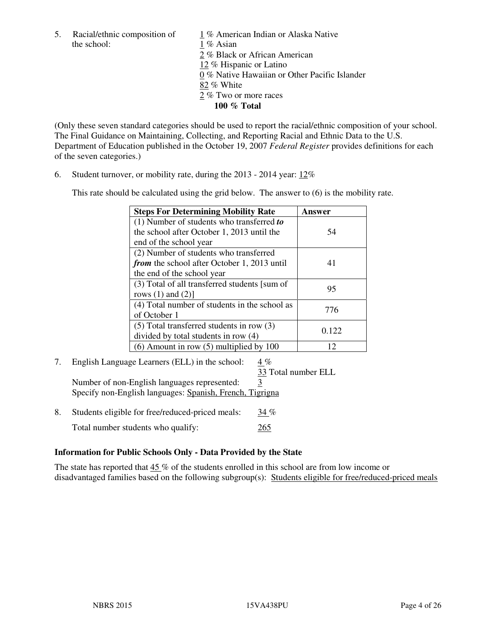the school: 1 % Asian

5. Racial/ethnic composition of  $1\%$  American Indian or Alaska Native 2 % Black or African American 12 % Hispanic or Latino 0 % Native Hawaiian or Other Pacific Islander 82 % White 2 % Two or more races **100 % Total** 

(Only these seven standard categories should be used to report the racial/ethnic composition of your school. The Final Guidance on Maintaining, Collecting, and Reporting Racial and Ethnic Data to the U.S. Department of Education published in the October 19, 2007 *Federal Register* provides definitions for each of the seven categories.)

6. Student turnover, or mobility rate, during the 2013 - 2014 year: 12%

This rate should be calculated using the grid below. The answer to (6) is the mobility rate.

| <b>Steps For Determining Mobility Rate</b>    | Answer |
|-----------------------------------------------|--------|
| $(1)$ Number of students who transferred to   |        |
| the school after October 1, 2013 until the    | 54     |
| end of the school year                        |        |
| (2) Number of students who transferred        |        |
| from the school after October 1, 2013 until   | 41     |
| the end of the school year                    |        |
| (3) Total of all transferred students [sum of | 95     |
| rows $(1)$ and $(2)$ ]                        |        |
| (4) Total number of students in the school as | 776    |
| of October 1                                  |        |
| $(5)$ Total transferred students in row $(3)$ | 0.122  |
| divided by total students in row (4)          |        |
| $(6)$ Amount in row $(5)$ multiplied by 100   | 12     |

# 7. English Language Learners (ELL) in the school: 4 %

33 Total number ELL

Number of non-English languages represented: 3 Specify non-English languages: Spanish, French, Tigrigna

8. Students eligible for free/reduced-priced meals:  $34\%$ Total number students who qualify: 265

# **Information for Public Schools Only - Data Provided by the State**

The state has reported that 45 % of the students enrolled in this school are from low income or disadvantaged families based on the following subgroup(s): Students eligible for free/reduced-priced meals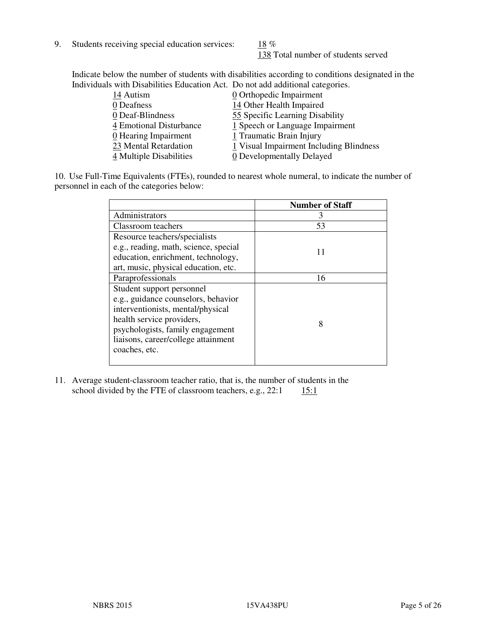9. Students receiving special education services:  $18\%$ 

138 Total number of students served

Indicate below the number of students with disabilities according to conditions designated in the Individuals with Disabilities Education Act. Do not add additional categories.

| 14 Autism               | 0 Orthopedic Impairment                 |
|-------------------------|-----------------------------------------|
| 0 Deafness              | 14 Other Health Impaired                |
| 0 Deaf-Blindness        | 55 Specific Learning Disability         |
| 4 Emotional Disturbance | $1$ Speech or Language Impairment       |
| 0 Hearing Impairment    | 1 Traumatic Brain Injury                |
| 23 Mental Retardation   | 1 Visual Impairment Including Blindness |
| 4 Multiple Disabilities | 0 Developmentally Delayed               |
|                         |                                         |

10. Use Full-Time Equivalents (FTEs), rounded to nearest whole numeral, to indicate the number of personnel in each of the categories below:

|                                       | <b>Number of Staff</b> |
|---------------------------------------|------------------------|
| Administrators                        | 3                      |
| Classroom teachers                    | 53                     |
| Resource teachers/specialists         |                        |
| e.g., reading, math, science, special | 11                     |
| education, enrichment, technology,    |                        |
| art, music, physical education, etc.  |                        |
| Paraprofessionals                     | 16                     |
| Student support personnel             |                        |
| e.g., guidance counselors, behavior   |                        |
| interventionists, mental/physical     |                        |
| health service providers,             | 8                      |
| psychologists, family engagement      |                        |
| liaisons, career/college attainment   |                        |
| coaches, etc.                         |                        |
|                                       |                        |

11. Average student-classroom teacher ratio, that is, the number of students in the school divided by the FTE of classroom teachers, e.g.,  $22:1$  15:1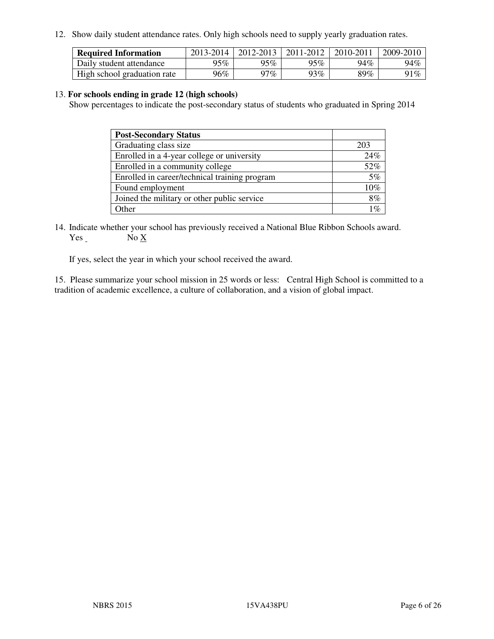12. Show daily student attendance rates. Only high schools need to supply yearly graduation rates.

| <b>Required Information</b> | 2013-2014 | 2012-2013 | 2011-2012 | 2010-2011 | 2009-2010 |
|-----------------------------|-----------|-----------|-----------|-----------|-----------|
| Daily student attendance    | 95%       | 95%       | 95%       | 94%       | 94%       |
| High school graduation rate | 96%       | 97 $\%$   | 93%       | 89%       | 91%       |

#### 13. **For schools ending in grade 12 (high schools)**

Show percentages to indicate the post-secondary status of students who graduated in Spring 2014

| <b>Post-Secondary Status</b>                  |                 |
|-----------------------------------------------|-----------------|
| Graduating class size                         | 203             |
| Enrolled in a 4-year college or university    | 24%             |
| Enrolled in a community college               | 52%             |
| Enrolled in career/technical training program | 5%              |
| Found employment                              | 10%             |
| Joined the military or other public service   | 8%              |
| Other                                         | 10 <sub>c</sub> |

14. Indicate whether your school has previously received a National Blue Ribbon Schools award. Yes No X

If yes, select the year in which your school received the award.

15. Please summarize your school mission in 25 words or less: Central High School is committed to a tradition of academic excellence, a culture of collaboration, and a vision of global impact.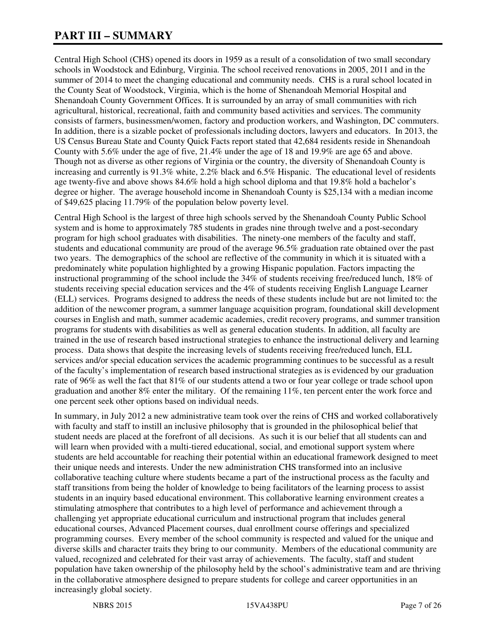# **PART III – SUMMARY**

Central High School (CHS) opened its doors in 1959 as a result of a consolidation of two small secondary schools in Woodstock and Edinburg, Virginia. The school received renovations in 2005, 2011 and in the summer of 2014 to meet the changing educational and community needs. CHS is a rural school located in the County Seat of Woodstock, Virginia, which is the home of Shenandoah Memorial Hospital and Shenandoah County Government Offices. It is surrounded by an array of small communities with rich agricultural, historical, recreational, faith and community based activities and services. The community consists of farmers, businessmen/women, factory and production workers, and Washington, DC commuters. In addition, there is a sizable pocket of professionals including doctors, lawyers and educators. In 2013, the US Census Bureau State and County Quick Facts report stated that 42,684 residents reside in Shenandoah County with 5.6% under the age of five, 21.4% under the age of 18 and 19.9% are age 65 and above. Though not as diverse as other regions of Virginia or the country, the diversity of Shenandoah County is increasing and currently is 91.3% white, 2.2% black and 6.5% Hispanic. The educational level of residents age twenty-five and above shows 84.6% hold a high school diploma and that 19.8% hold a bachelor's degree or higher. The average household income in Shenandoah County is \$25,134 with a median income of \$49,625 placing 11.79% of the population below poverty level.

Central High School is the largest of three high schools served by the Shenandoah County Public School system and is home to approximately 785 students in grades nine through twelve and a post-secondary program for high school graduates with disabilities. The ninety-one members of the faculty and staff, students and educational community are proud of the average 96.5% graduation rate obtained over the past two years. The demographics of the school are reflective of the community in which it is situated with a predominately white population highlighted by a growing Hispanic population. Factors impacting the instructional programming of the school include the 34% of students receiving free/reduced lunch, 18% of students receiving special education services and the 4% of students receiving English Language Learner (ELL) services. Programs designed to address the needs of these students include but are not limited to: the addition of the newcomer program, a summer language acquisition program, foundational skill development courses in English and math, summer academic academies, credit recovery programs, and summer transition programs for students with disabilities as well as general education students. In addition, all faculty are trained in the use of research based instructional strategies to enhance the instructional delivery and learning process. Data shows that despite the increasing levels of students receiving free/reduced lunch, ELL services and/or special education services the academic programming continues to be successful as a result of the faculty's implementation of research based instructional strategies as is evidenced by our graduation rate of 96% as well the fact that 81% of our students attend a two or four year college or trade school upon graduation and another 8% enter the military. Of the remaining 11%, ten percent enter the work force and one percent seek other options based on individual needs.

In summary, in July 2012 a new administrative team took over the reins of CHS and worked collaboratively with faculty and staff to instill an inclusive philosophy that is grounded in the philosophical belief that student needs are placed at the forefront of all decisions. As such it is our belief that all students can and will learn when provided with a multi-tiered educational, social, and emotional support system where students are held accountable for reaching their potential within an educational framework designed to meet their unique needs and interests. Under the new administration CHS transformed into an inclusive collaborative teaching culture where students became a part of the instructional process as the faculty and staff transitions from being the holder of knowledge to being facilitators of the learning process to assist students in an inquiry based educational environment. This collaborative learning environment creates a stimulating atmosphere that contributes to a high level of performance and achievement through a challenging yet appropriate educational curriculum and instructional program that includes general educational courses, Advanced Placement courses, dual enrollment course offerings and specialized programming courses. Every member of the school community is respected and valued for the unique and diverse skills and character traits they bring to our community. Members of the educational community are valued, recognized and celebrated for their vast array of achievements. The faculty, staff and student population have taken ownership of the philosophy held by the school's administrative team and are thriving in the collaborative atmosphere designed to prepare students for college and career opportunities in an increasingly global society.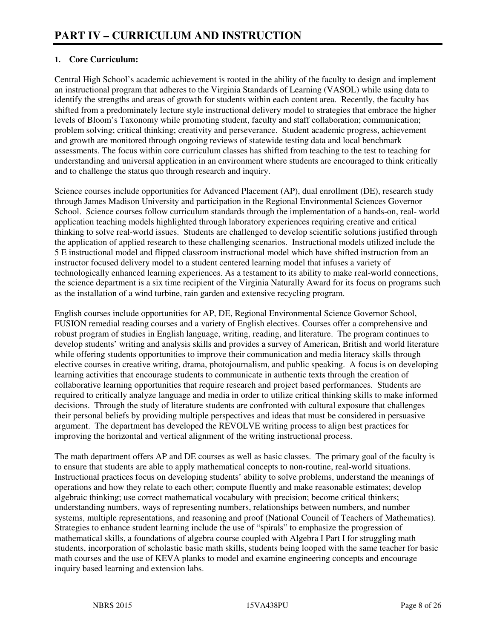# **1. Core Curriculum:**

Central High School's academic achievement is rooted in the ability of the faculty to design and implement an instructional program that adheres to the Virginia Standards of Learning (VASOL) while using data to identify the strengths and areas of growth for students within each content area. Recently, the faculty has shifted from a predominately lecture style instructional delivery model to strategies that embrace the higher levels of Bloom's Taxonomy while promoting student, faculty and staff collaboration; communication; problem solving; critical thinking; creativity and perseverance. Student academic progress, achievement and growth are monitored through ongoing reviews of statewide testing data and local benchmark assessments. The focus within core curriculum classes has shifted from teaching to the test to teaching for understanding and universal application in an environment where students are encouraged to think critically and to challenge the status quo through research and inquiry.

Science courses include opportunities for Advanced Placement (AP), dual enrollment (DE), research study through James Madison University and participation in the Regional Environmental Sciences Governor School. Science courses follow curriculum standards through the implementation of a hands-on, real- world application teaching models highlighted through laboratory experiences requiring creative and critical thinking to solve real-world issues. Students are challenged to develop scientific solutions justified through the application of applied research to these challenging scenarios. Instructional models utilized include the 5 E instructional model and flipped classroom instructional model which have shifted instruction from an instructor focused delivery model to a student centered learning model that infuses a variety of technologically enhanced learning experiences. As a testament to its ability to make real-world connections, the science department is a six time recipient of the Virginia Naturally Award for its focus on programs such as the installation of a wind turbine, rain garden and extensive recycling program.

English courses include opportunities for AP, DE, Regional Environmental Science Governor School, FUSION remedial reading courses and a variety of English electives. Courses offer a comprehensive and robust program of studies in English language, writing, reading, and literature. The program continues to develop students' writing and analysis skills and provides a survey of American, British and world literature while offering students opportunities to improve their communication and media literacy skills through elective courses in creative writing, drama, photojournalism, and public speaking. A focus is on developing learning activities that encourage students to communicate in authentic texts through the creation of collaborative learning opportunities that require research and project based performances. Students are required to critically analyze language and media in order to utilize critical thinking skills to make informed decisions. Through the study of literature students are confronted with cultural exposure that challenges their personal beliefs by providing multiple perspectives and ideas that must be considered in persuasive argument. The department has developed the REVOLVE writing process to align best practices for improving the horizontal and vertical alignment of the writing instructional process.

The math department offers AP and DE courses as well as basic classes. The primary goal of the faculty is to ensure that students are able to apply mathematical concepts to non-routine, real-world situations. Instructional practices focus on developing students' ability to solve problems, understand the meanings of operations and how they relate to each other; compute fluently and make reasonable estimates; develop algebraic thinking; use correct mathematical vocabulary with precision; become critical thinkers; understanding numbers, ways of representing numbers, relationships between numbers, and number systems, multiple representations, and reasoning and proof (National Council of Teachers of Mathematics). Strategies to enhance student learning include the use of "spirals" to emphasize the progression of mathematical skills, a foundations of algebra course coupled with Algebra I Part I for struggling math students, incorporation of scholastic basic math skills, students being looped with the same teacher for basic math courses and the use of KEVA planks to model and examine engineering concepts and encourage inquiry based learning and extension labs.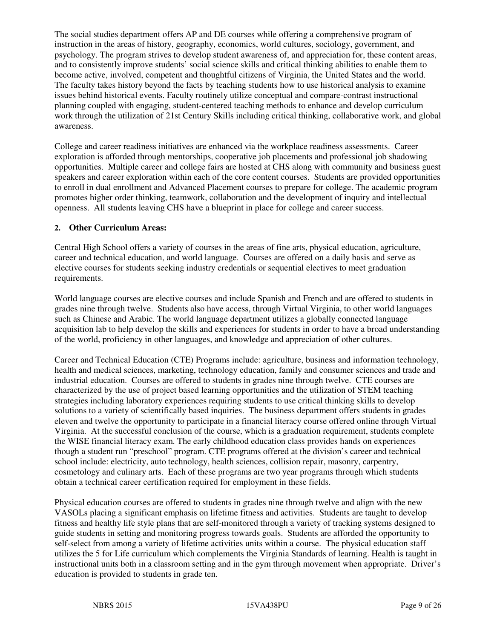The social studies department offers AP and DE courses while offering a comprehensive program of instruction in the areas of history, geography, economics, world cultures, sociology, government, and psychology. The program strives to develop student awareness of, and appreciation for, these content areas, and to consistently improve students' social science skills and critical thinking abilities to enable them to become active, involved, competent and thoughtful citizens of Virginia, the United States and the world. The faculty takes history beyond the facts by teaching students how to use historical analysis to examine issues behind historical events. Faculty routinely utilize conceptual and compare-contrast instructional planning coupled with engaging, student-centered teaching methods to enhance and develop curriculum work through the utilization of 21st Century Skills including critical thinking, collaborative work, and global awareness.

College and career readiness initiatives are enhanced via the workplace readiness assessments. Career exploration is afforded through mentorships, cooperative job placements and professional job shadowing opportunities. Multiple career and college fairs are hosted at CHS along with community and business guest speakers and career exploration within each of the core content courses. Students are provided opportunities to enroll in dual enrollment and Advanced Placement courses to prepare for college. The academic program promotes higher order thinking, teamwork, collaboration and the development of inquiry and intellectual openness. All students leaving CHS have a blueprint in place for college and career success.

## **2. Other Curriculum Areas:**

Central High School offers a variety of courses in the areas of fine arts, physical education, agriculture, career and technical education, and world language. Courses are offered on a daily basis and serve as elective courses for students seeking industry credentials or sequential electives to meet graduation requirements.

World language courses are elective courses and include Spanish and French and are offered to students in grades nine through twelve. Students also have access, through Virtual Virginia, to other world languages such as Chinese and Arabic. The world language department utilizes a globally connected language acquisition lab to help develop the skills and experiences for students in order to have a broad understanding of the world, proficiency in other languages, and knowledge and appreciation of other cultures.

Career and Technical Education (CTE) Programs include: agriculture, business and information technology, health and medical sciences, marketing, technology education, family and consumer sciences and trade and industrial education. Courses are offered to students in grades nine through twelve. CTE courses are characterized by the use of project based learning opportunities and the utilization of STEM teaching strategies including laboratory experiences requiring students to use critical thinking skills to develop solutions to a variety of scientifically based inquiries. The business department offers students in grades eleven and twelve the opportunity to participate in a financial literacy course offered online through Virtual Virginia. At the successful conclusion of the course, which is a graduation requirement, students complete the WISE financial literacy exam. The early childhood education class provides hands on experiences though a student run "preschool" program. CTE programs offered at the division's career and technical school include: electricity, auto technology, health sciences, collision repair, masonry, carpentry, cosmetology and culinary arts. Each of these programs are two year programs through which students obtain a technical career certification required for employment in these fields.

Physical education courses are offered to students in grades nine through twelve and align with the new VASOLs placing a significant emphasis on lifetime fitness and activities. Students are taught to develop fitness and healthy life style plans that are self-monitored through a variety of tracking systems designed to guide students in setting and monitoring progress towards goals. Students are afforded the opportunity to self-select from among a variety of lifetime activities units within a course. The physical education staff utilizes the 5 for Life curriculum which complements the Virginia Standards of learning. Health is taught in instructional units both in a classroom setting and in the gym through movement when appropriate. Driver's education is provided to students in grade ten.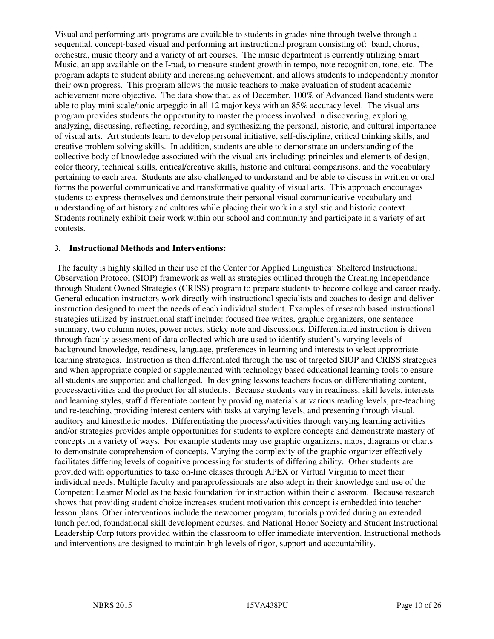Visual and performing arts programs are available to students in grades nine through twelve through a sequential, concept-based visual and performing art instructional program consisting of: band, chorus, orchestra, music theory and a variety of art courses. The music department is currently utilizing Smart Music, an app available on the I-pad, to measure student growth in tempo, note recognition, tone, etc. The program adapts to student ability and increasing achievement, and allows students to independently monitor their own progress. This program allows the music teachers to make evaluation of student academic achievement more objective. The data show that, as of December, 100% of Advanced Band students were able to play mini scale/tonic arpeggio in all 12 major keys with an 85% accuracy level. The visual arts program provides students the opportunity to master the process involved in discovering, exploring, analyzing, discussing, reflecting, recording, and synthesizing the personal, historic, and cultural importance of visual arts. Art students learn to develop personal initiative, self-discipline, critical thinking skills, and creative problem solving skills. In addition, students are able to demonstrate an understanding of the collective body of knowledge associated with the visual arts including: principles and elements of design, color theory, technical skills, critical/creative skills, historic and cultural comparisons, and the vocabulary pertaining to each area. Students are also challenged to understand and be able to discuss in written or oral forms the powerful communicative and transformative quality of visual arts. This approach encourages students to express themselves and demonstrate their personal visual communicative vocabulary and understanding of art history and cultures while placing their work in a stylistic and historic context. Students routinely exhibit their work within our school and community and participate in a variety of art contests.

#### **3. Instructional Methods and Interventions:**

 The faculty is highly skilled in their use of the Center for Applied Linguistics' Sheltered Instructional Observation Protocol (SIOP) framework as well as strategies outlined through the Creating Independence through Student Owned Strategies (CRISS) program to prepare students to become college and career ready. General education instructors work directly with instructional specialists and coaches to design and deliver instruction designed to meet the needs of each individual student. Examples of research based instructional strategies utilized by instructional staff include: focused free writes, graphic organizers, one sentence summary, two column notes, power notes, sticky note and discussions. Differentiated instruction is driven through faculty assessment of data collected which are used to identify student's varying levels of background knowledge, readiness, language, preferences in learning and interests to select appropriate learning strategies. Instruction is then differentiated through the use of targeted SIOP and CRISS strategies and when appropriate coupled or supplemented with technology based educational learning tools to ensure all students are supported and challenged. In designing lessons teachers focus on differentiating content, process/activities and the product for all students. Because students vary in readiness, skill levels, interests and learning styles, staff differentiate content by providing materials at various reading levels, pre-teaching and re-teaching, providing interest centers with tasks at varying levels, and presenting through visual, auditory and kinesthetic modes. Differentiating the process/activities through varying learning activities and/or strategies provides ample opportunities for students to explore concepts and demonstrate mastery of concepts in a variety of ways. For example students may use graphic organizers, maps, diagrams or charts to demonstrate comprehension of concepts. Varying the complexity of the graphic organizer effectively facilitates differing levels of cognitive processing for students of differing ability. Other students are provided with opportunities to take on-line classes through APEX or Virtual Virginia to meet their individual needs. Multiple faculty and paraprofessionals are also adept in their knowledge and use of the Competent Learner Model as the basic foundation for instruction within their classroom. Because research shows that providing student choice increases student motivation this concept is embedded into teacher lesson plans. Other interventions include the newcomer program, tutorials provided during an extended lunch period, foundational skill development courses, and National Honor Society and Student Instructional Leadership Corp tutors provided within the classroom to offer immediate intervention. Instructional methods and interventions are designed to maintain high levels of rigor, support and accountability.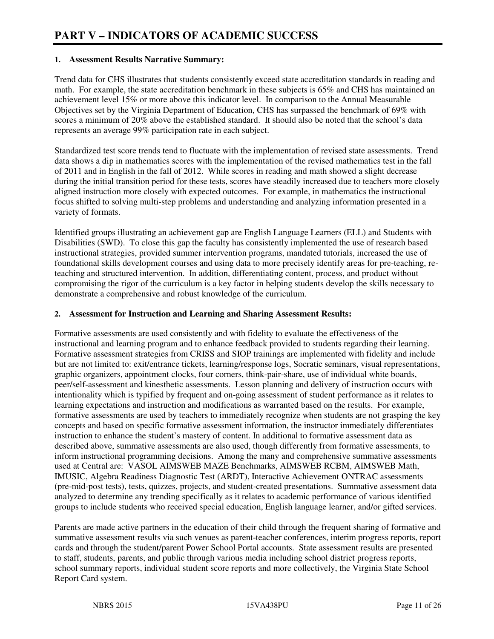## **1. Assessment Results Narrative Summary:**

Trend data for CHS illustrates that students consistently exceed state accreditation standards in reading and math. For example, the state accreditation benchmark in these subjects is 65% and CHS has maintained an achievement level 15% or more above this indicator level. In comparison to the Annual Measurable Objectives set by the Virginia Department of Education, CHS has surpassed the benchmark of 69% with scores a minimum of 20% above the established standard. It should also be noted that the school's data represents an average 99% participation rate in each subject.

Standardized test score trends tend to fluctuate with the implementation of revised state assessments. Trend data shows a dip in mathematics scores with the implementation of the revised mathematics test in the fall of 2011 and in English in the fall of 2012. While scores in reading and math showed a slight decrease during the initial transition period for these tests, scores have steadily increased due to teachers more closely aligned instruction more closely with expected outcomes. For example, in mathematics the instructional focus shifted to solving multi-step problems and understanding and analyzing information presented in a variety of formats.

Identified groups illustrating an achievement gap are English Language Learners (ELL) and Students with Disabilities (SWD). To close this gap the faculty has consistently implemented the use of research based instructional strategies, provided summer intervention programs, mandated tutorials, increased the use of foundational skills development courses and using data to more precisely identify areas for pre-teaching, reteaching and structured intervention. In addition, differentiating content, process, and product without compromising the rigor of the curriculum is a key factor in helping students develop the skills necessary to demonstrate a comprehensive and robust knowledge of the curriculum.

## **2. Assessment for Instruction and Learning and Sharing Assessment Results:**

Formative assessments are used consistently and with fidelity to evaluate the effectiveness of the instructional and learning program and to enhance feedback provided to students regarding their learning. Formative assessment strategies from CRISS and SIOP trainings are implemented with fidelity and include but are not limited to: exit/entrance tickets, learning/response logs, Socratic seminars, visual representations, graphic organizers, appointment clocks, four corners, think-pair-share, use of individual white boards, peer/self-assessment and kinesthetic assessments. Lesson planning and delivery of instruction occurs with intentionality which is typified by frequent and on-going assessment of student performance as it relates to learning expectations and instruction and modifications as warranted based on the results. For example, formative assessments are used by teachers to immediately recognize when students are not grasping the key concepts and based on specific formative assessment information, the instructor immediately differentiates instruction to enhance the student's mastery of content. In additional to formative assessment data as described above, summative assessments are also used, though differently from formative assessments, to inform instructional programming decisions. Among the many and comprehensive summative assessments used at Central are: VASOL AIMSWEB MAZE Benchmarks, AIMSWEB RCBM, AIMSWEB Math, IMUSIC, Algebra Readiness Diagnostic Test (ARDT), Interactive Achievement ONTRAC assessments (pre-mid-post tests), tests, quizzes, projects, and student-created presentations. Summative assessment data analyzed to determine any trending specifically as it relates to academic performance of various identified groups to include students who received special education, English language learner, and/or gifted services.

Parents are made active partners in the education of their child through the frequent sharing of formative and summative assessment results via such venues as parent-teacher conferences, interim progress reports, report cards and through the student/parent Power School Portal accounts. State assessment results are presented to staff, students, parents, and public through various media including school district progress reports, school summary reports, individual student score reports and more collectively, the Virginia State School Report Card system.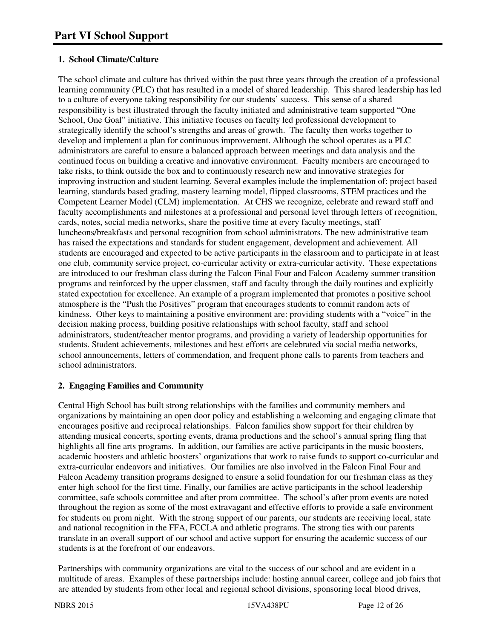# **1. School Climate/Culture**

The school climate and culture has thrived within the past three years through the creation of a professional learning community (PLC) that has resulted in a model of shared leadership. This shared leadership has led to a culture of everyone taking responsibility for our students' success. This sense of a shared responsibility is best illustrated through the faculty initiated and administrative team supported "One School, One Goal" initiative. This initiative focuses on faculty led professional development to strategically identify the school's strengths and areas of growth. The faculty then works together to develop and implement a plan for continuous improvement. Although the school operates as a PLC administrators are careful to ensure a balanced approach between meetings and data analysis and the continued focus on building a creative and innovative environment. Faculty members are encouraged to take risks, to think outside the box and to continuously research new and innovative strategies for improving instruction and student learning. Several examples include the implementation of: project based learning, standards based grading, mastery learning model, flipped classrooms, STEM practices and the Competent Learner Model (CLM) implementation. At CHS we recognize, celebrate and reward staff and faculty accomplishments and milestones at a professional and personal level through letters of recognition, cards, notes, social media networks, share the positive time at every faculty meetings, staff luncheons/breakfasts and personal recognition from school administrators. The new administrative team has raised the expectations and standards for student engagement, development and achievement. All students are encouraged and expected to be active participants in the classroom and to participate in at least one club, community service project, co-curricular activity or extra-curricular activity. These expectations are introduced to our freshman class during the Falcon Final Four and Falcon Academy summer transition programs and reinforced by the upper classmen, staff and faculty through the daily routines and explicitly stated expectation for excellence. An example of a program implemented that promotes a positive school atmosphere is the "Push the Positives" program that encourages students to commit random acts of kindness. Other keys to maintaining a positive environment are: providing students with a "voice" in the decision making process, building positive relationships with school faculty, staff and school administrators, student/teacher mentor programs, and providing a variety of leadership opportunities for students. Student achievements, milestones and best efforts are celebrated via social media networks, school announcements, letters of commendation, and frequent phone calls to parents from teachers and school administrators.

# **2. Engaging Families and Community**

Central High School has built strong relationships with the families and community members and organizations by maintaining an open door policy and establishing a welcoming and engaging climate that encourages positive and reciprocal relationships. Falcon families show support for their children by attending musical concerts, sporting events, drama productions and the school's annual spring fling that highlights all fine arts programs. In addition, our families are active participants in the music boosters, academic boosters and athletic boosters' organizations that work to raise funds to support co-curricular and extra-curricular endeavors and initiatives. Our families are also involved in the Falcon Final Four and Falcon Academy transition programs designed to ensure a solid foundation for our freshman class as they enter high school for the first time. Finally, our families are active participants in the school leadership committee, safe schools committee and after prom committee. The school's after prom events are noted throughout the region as some of the most extravagant and effective efforts to provide a safe environment for students on prom night. With the strong support of our parents, our students are receiving local, state and national recognition in the FFA, FCCLA and athletic programs. The strong ties with our parents translate in an overall support of our school and active support for ensuring the academic success of our students is at the forefront of our endeavors.

Partnerships with community organizations are vital to the success of our school and are evident in a multitude of areas. Examples of these partnerships include: hosting annual career, college and job fairs that are attended by students from other local and regional school divisions, sponsoring local blood drives,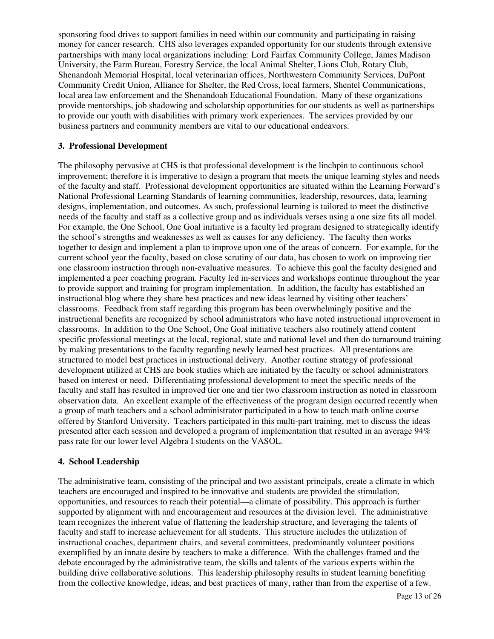sponsoring food drives to support families in need within our community and participating in raising money for cancer research. CHS also leverages expanded opportunity for our students through extensive partnerships with many local organizations including: Lord Fairfax Community College, James Madison University, the Farm Bureau, Forestry Service, the local Animal Shelter, Lions Club, Rotary Club, Shenandoah Memorial Hospital, local veterinarian offices, Northwestern Community Services, DuPont Community Credit Union, Alliance for Shelter, the Red Cross, local farmers, Shentel Communications, local area law enforcement and the Shenandoah Educational Foundation. Many of these organizations provide mentorships, job shadowing and scholarship opportunities for our students as well as partnerships to provide our youth with disabilities with primary work experiences. The services provided by our business partners and community members are vital to our educational endeavors.

#### **3. Professional Development**

The philosophy pervasive at CHS is that professional development is the linchpin to continuous school improvement; therefore it is imperative to design a program that meets the unique learning styles and needs of the faculty and staff. Professional development opportunities are situated within the Learning Forward's National Professional Learning Standards of learning communities, leadership, resources, data, learning designs, implementation, and outcomes. As such, professional learning is tailored to meet the distinctive needs of the faculty and staff as a collective group and as individuals verses using a one size fits all model. For example, the One School, One Goal initiative is a faculty led program designed to strategically identify the school's strengths and weaknesses as well as causes for any deficiency. The faculty then works together to design and implement a plan to improve upon one of the areas of concern. For example, for the current school year the faculty, based on close scrutiny of our data, has chosen to work on improving tier one classroom instruction through non-evaluative measures. To achieve this goal the faculty designed and implemented a peer coaching program. Faculty led in-services and workshops continue throughout the year to provide support and training for program implementation. In addition, the faculty has established an instructional blog where they share best practices and new ideas learned by visiting other teachers' classrooms. Feedback from staff regarding this program has been overwhelmingly positive and the instructional benefits are recognized by school administrators who have noted instructional improvement in classrooms. In addition to the One School, One Goal initiative teachers also routinely attend content specific professional meetings at the local, regional, state and national level and then do turnaround training by making presentations to the faculty regarding newly learned best practices. All presentations are structured to model best practices in instructional delivery. Another routine strategy of professional development utilized at CHS are book studies which are initiated by the faculty or school administrators based on interest or need. Differentiating professional development to meet the specific needs of the faculty and staff has resulted in improved tier one and tier two classroom instruction as noted in classroom observation data. An excellent example of the effectiveness of the program design occurred recently when a group of math teachers and a school administrator participated in a how to teach math online course offered by Stanford University. Teachers participated in this multi-part training, met to discuss the ideas presented after each session and developed a program of implementation that resulted in an average 94% pass rate for our lower level Algebra I students on the VASOL.

#### **4. School Leadership**

The administrative team, consisting of the principal and two assistant principals, create a climate in which teachers are encouraged and inspired to be innovative and students are provided the stimulation, opportunities, and resources to reach their potential—a climate of possibility. This approach is further supported by alignment with and encouragement and resources at the division level. The administrative team recognizes the inherent value of flattening the leadership structure, and leveraging the talents of faculty and staff to increase achievement for all students. This structure includes the utilization of instructional coaches, department chairs, and several committees, predominantly volunteer positions exemplified by an innate desire by teachers to make a difference. With the challenges framed and the debate encouraged by the administrative team, the skills and talents of the various experts within the building drive collaborative solutions. This leadership philosophy results in student learning benefiting from the collective knowledge, ideas, and best practices of many, rather than from the expertise of a few.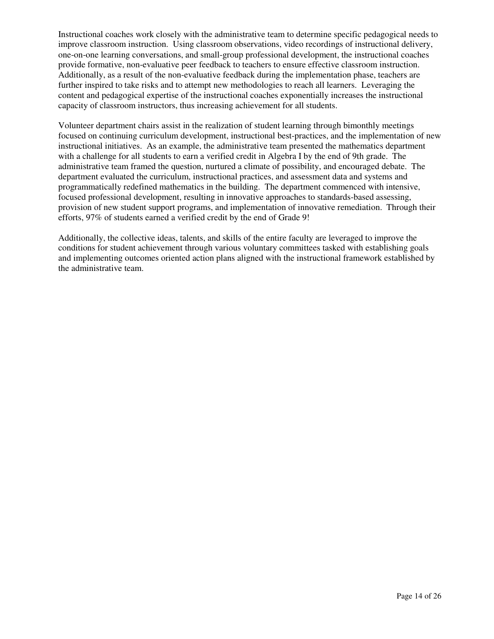Instructional coaches work closely with the administrative team to determine specific pedagogical needs to improve classroom instruction. Using classroom observations, video recordings of instructional delivery, one-on-one learning conversations, and small-group professional development, the instructional coaches provide formative, non-evaluative peer feedback to teachers to ensure effective classroom instruction. Additionally, as a result of the non-evaluative feedback during the implementation phase, teachers are further inspired to take risks and to attempt new methodologies to reach all learners. Leveraging the content and pedagogical expertise of the instructional coaches exponentially increases the instructional capacity of classroom instructors, thus increasing achievement for all students.

Volunteer department chairs assist in the realization of student learning through bimonthly meetings focused on continuing curriculum development, instructional best-practices, and the implementation of new instructional initiatives. As an example, the administrative team presented the mathematics department with a challenge for all students to earn a verified credit in Algebra I by the end of 9th grade. The administrative team framed the question, nurtured a climate of possibility, and encouraged debate. The department evaluated the curriculum, instructional practices, and assessment data and systems and programmatically redefined mathematics in the building. The department commenced with intensive, focused professional development, resulting in innovative approaches to standards-based assessing, provision of new student support programs, and implementation of innovative remediation. Through their efforts, 97% of students earned a verified credit by the end of Grade 9!

Additionally, the collective ideas, talents, and skills of the entire faculty are leveraged to improve the conditions for student achievement through various voluntary committees tasked with establishing goals and implementing outcomes oriented action plans aligned with the instructional framework established by the administrative team.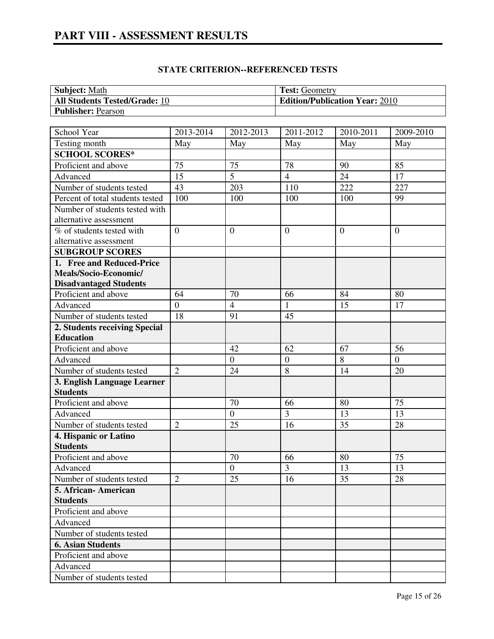| <b>Subject:</b> Math                 | <b>Test:</b> Geometry                 |
|--------------------------------------|---------------------------------------|
| <b>All Students Tested/Grade: 10</b> | <b>Edition/Publication Year: 2010</b> |
| <b>Publisher: Pearson</b>            |                                       |
|                                      |                                       |

| School Year                      | 2013-2014      | 2012-2013      | 2011-2012        | 2010-2011      | 2009-2010      |
|----------------------------------|----------------|----------------|------------------|----------------|----------------|
| Testing month                    | May            | May            | May              | May            | May            |
| <b>SCHOOL SCORES*</b>            |                |                |                  |                |                |
| Proficient and above             | 75             | 75             | 78               | 90             | 85             |
| Advanced                         | 15             | $\overline{5}$ | $\overline{4}$   | 24             | 17             |
| Number of students tested        | 43             | 203            | 110              | 222            | 227            |
| Percent of total students tested | 100            | 100            | 100              | 100            | 99             |
| Number of students tested with   |                |                |                  |                |                |
| alternative assessment           |                |                |                  |                |                |
| % of students tested with        | $\overline{0}$ | $\theta$       | $\overline{0}$   | $\theta$       | $\overline{0}$ |
| alternative assessment           |                |                |                  |                |                |
| <b>SUBGROUP SCORES</b>           |                |                |                  |                |                |
| 1. Free and Reduced-Price        |                |                |                  |                |                |
| Meals/Socio-Economic/            |                |                |                  |                |                |
| <b>Disadvantaged Students</b>    |                |                |                  |                |                |
| Proficient and above             | 64             | 70             | 66               | 84             | 80             |
| Advanced                         | $\overline{0}$ | $\overline{4}$ | 1                | 15             | 17             |
| Number of students tested        | 18             | 91             | 45               |                |                |
| 2. Students receiving Special    |                |                |                  |                |                |
| <b>Education</b>                 |                |                |                  |                |                |
| Proficient and above             |                | 42             | 62               | 67             | 56             |
| Advanced                         |                | $\overline{0}$ | $\boldsymbol{0}$ | $\overline{8}$ | $\overline{0}$ |
| Number of students tested        | $\overline{2}$ | 24             | 8                | 14             | 20             |
| 3. English Language Learner      |                |                |                  |                |                |
| <b>Students</b>                  |                |                |                  |                |                |
| Proficient and above             |                | 70             | 66               | 80             | 75             |
| Advanced                         |                | $\overline{0}$ | $\overline{3}$   | 13             | 13             |
| Number of students tested        | $\overline{2}$ | 25             | 16               | 35             | 28             |
| 4. Hispanic or Latino            |                |                |                  |                |                |
| <b>Students</b>                  |                |                |                  |                |                |
| Proficient and above             |                | 70             | 66               | 80             | 75             |
| Advanced                         |                | $\overline{0}$ | 3                | 13             | 13             |
| Number of students tested        | $\overline{2}$ | 25             | 16               | 35             | 28             |
| 5. African-American              |                |                |                  |                |                |
| <b>Students</b>                  |                |                |                  |                |                |
| Proficient and above             |                |                |                  |                |                |
| Advanced                         |                |                |                  |                |                |
| Number of students tested        |                |                |                  |                |                |
| <b>6. Asian Students</b>         |                |                |                  |                |                |
| Proficient and above             |                |                |                  |                |                |
| Advanced                         |                |                |                  |                |                |
| Number of students tested        |                |                |                  |                |                |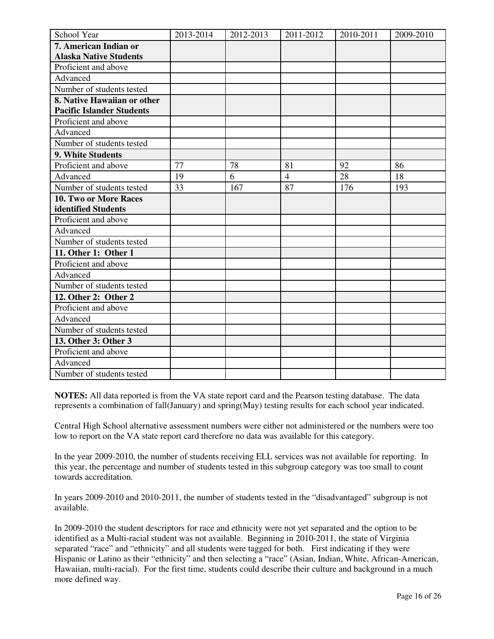| School Year                      | 2013-2014 | 2012-2013 | 2011-2012      | 2010-2011 | 2009-2010 |
|----------------------------------|-----------|-----------|----------------|-----------|-----------|
| 7. American Indian or            |           |           |                |           |           |
| <b>Alaska Native Students</b>    |           |           |                |           |           |
| Proficient and above             |           |           |                |           |           |
| Advanced                         |           |           |                |           |           |
| Number of students tested        |           |           |                |           |           |
| 8. Native Hawaiian or other      |           |           |                |           |           |
| <b>Pacific Islander Students</b> |           |           |                |           |           |
| Proficient and above             |           |           |                |           |           |
| Advanced                         |           |           |                |           |           |
| Number of students tested        |           |           |                |           |           |
| 9. White Students                |           |           |                |           |           |
| Proficient and above             | 77        | 78        | 81             | 92        | 86        |
| Advanced                         | 19        | 6         | $\overline{4}$ | 28        | 18        |
| Number of students tested        | 33        | 167       | 87             | 176       | 193       |
| 10. Two or More Races            |           |           |                |           |           |
| identified Students              |           |           |                |           |           |
| Proficient and above             |           |           |                |           |           |
| Advanced                         |           |           |                |           |           |
| Number of students tested        |           |           |                |           |           |
| 11. Other 1: Other 1             |           |           |                |           |           |
| Proficient and above             |           |           |                |           |           |
| Advanced                         |           |           |                |           |           |
| Number of students tested        |           |           |                |           |           |
| 12. Other 2: Other 2             |           |           |                |           |           |
| Proficient and above             |           |           |                |           |           |
| Advanced                         |           |           |                |           |           |
| Number of students tested        |           |           |                |           |           |
| 13. Other 3: Other 3             |           |           |                |           |           |
| Proficient and above             |           |           |                |           |           |
| Advanced                         |           |           |                |           |           |
| Number of students tested        |           |           |                |           |           |

**NOTES:** All data reported is from the VA state report card and the Pearson testing database. The data represents a combination of fall(January) and spring(May) testing results for each school year indicated.

Central High School alternative assessment numbers were either not administered or the numbers were too low to report on the VA state report card therefore no data was available for this category.

In the year 2009-2010, the number of students receiving ELL services was not available for reporting. In this year, the percentage and number of students tested in this subgroup category was too small to count towards accreditation.

In years 2009-2010 and 2010-2011, the number of students tested in the "disadvantaged" subgroup is not available.

In 2009-2010 the student descriptors for race and ethnicity were not yet separated and the option to be identified as a Multi-racial student was not available. Beginning in 2010-2011, the state of Virginia separated "race" and "ethnicity" and all students were tagged for both. First indicating if they were Hispanic or Latino as their "ethnicity" and then selecting a "race" (Asian, Indian, White, African-American, Hawaiian, multi-racial). For the first time, students could describe their culture and background in a much more defined way.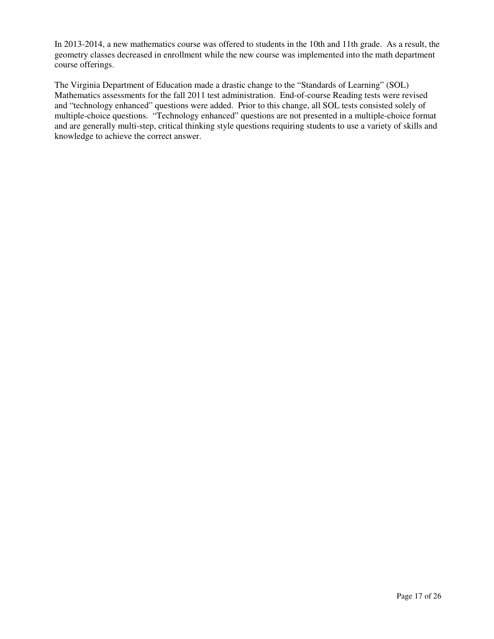In 2013-2014, a new mathematics course was offered to students in the 10th and 11th grade. As a result, the geometry classes decreased in enrollment while the new course was implemented into the math department course offerings.

The Virginia Department of Education made a drastic change to the "Standards of Learning" (SOL) Mathematics assessments for the fall 2011 test administration. End-of-course Reading tests were revised and "technology enhanced" questions were added. Prior to this change, all SOL tests consisted solely of multiple-choice questions. "Technology enhanced" questions are not presented in a multiple-choice format and are generally multi-step, critical thinking style questions requiring students to use a variety of skills and knowledge to achieve the correct answer.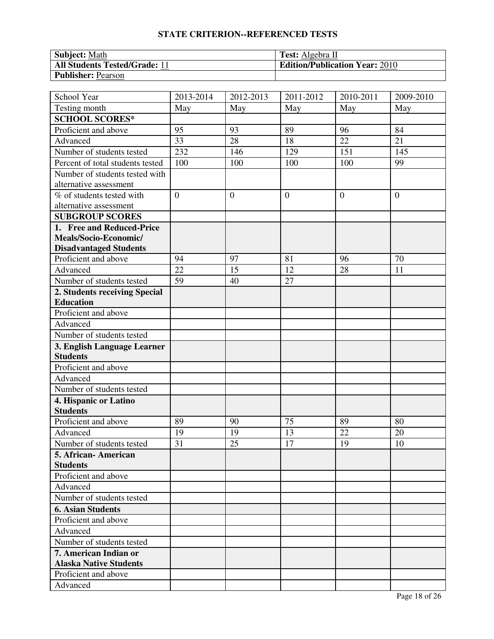# **STATE CRITERION--REFERENCED TESTS**

| <b>Subject: Math</b>                 | <b>Test:</b> Algebra II               |
|--------------------------------------|---------------------------------------|
| <b>All Students Tested/Grade: 11</b> | <b>Edition/Publication Year: 2010</b> |
| <b>Publisher: Pearson</b>            |                                       |

| School Year                      | 2013-2014      | 2012-2013      | 2011-2012      | $\overline{20}10 - 2011$ | 2009-2010      |
|----------------------------------|----------------|----------------|----------------|--------------------------|----------------|
| Testing month                    | May            | May            | May            | May                      | May            |
| <b>SCHOOL SCORES*</b>            |                |                |                |                          |                |
| Proficient and above             | 95             | 93             | 89             | 96                       | 84             |
| Advanced                         | 33             | 28             | 18             | 22                       | 21             |
| Number of students tested        | 232            | 146            | 129            | 151                      | 145            |
| Percent of total students tested | 100            | 100            | 100            | 100                      | 99             |
| Number of students tested with   |                |                |                |                          |                |
| alternative assessment           |                |                |                |                          |                |
| % of students tested with        | $\overline{0}$ | $\overline{0}$ | $\overline{0}$ | $\overline{0}$           | $\overline{0}$ |
| alternative assessment           |                |                |                |                          |                |
| <b>SUBGROUP SCORES</b>           |                |                |                |                          |                |
| 1. Free and Reduced-Price        |                |                |                |                          |                |
| Meals/Socio-Economic/            |                |                |                |                          |                |
| <b>Disadvantaged Students</b>    |                |                |                |                          |                |
| Proficient and above             | 94             | 97             | 81             | 96                       | 70             |
| Advanced                         | 22             | 15             | 12             | 28                       | 11             |
| Number of students tested        | 59             | 40             | 27             |                          |                |
| 2. Students receiving Special    |                |                |                |                          |                |
| <b>Education</b>                 |                |                |                |                          |                |
| Proficient and above             |                |                |                |                          |                |
| Advanced                         |                |                |                |                          |                |
| Number of students tested        |                |                |                |                          |                |
| 3. English Language Learner      |                |                |                |                          |                |
| <b>Students</b>                  |                |                |                |                          |                |
| Proficient and above             |                |                |                |                          |                |
| Advanced                         |                |                |                |                          |                |
| Number of students tested        |                |                |                |                          |                |
| 4. Hispanic or Latino            |                |                |                |                          |                |
| <b>Students</b>                  |                |                |                |                          |                |
| Proficient and above             | 89             | 90             | 75             | 89                       | 80             |
| Advanced                         | 19             | 19             | 13             | 22                       | 20             |
| Number of students tested        | 31             | 25             | 17             | 19                       | 10             |
| 5. African- American             |                |                |                |                          |                |
| <b>Students</b>                  |                |                |                |                          |                |
| Proficient and above             |                |                |                |                          |                |
| Advanced                         |                |                |                |                          |                |
| Number of students tested        |                |                |                |                          |                |
| <b>6. Asian Students</b>         |                |                |                |                          |                |
| Proficient and above             |                |                |                |                          |                |
| Advanced                         |                |                |                |                          |                |
| Number of students tested        |                |                |                |                          |                |
| 7. American Indian or            |                |                |                |                          |                |
| <b>Alaska Native Students</b>    |                |                |                |                          |                |
| Proficient and above             |                |                |                |                          |                |
| Advanced                         |                |                |                |                          |                |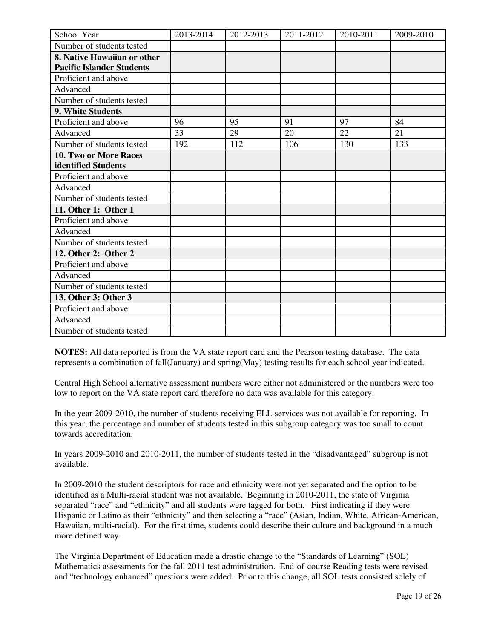| School Year                      | 2013-2014 | 2012-2013 | 2011-2012 | 2010-2011 | 2009-2010 |
|----------------------------------|-----------|-----------|-----------|-----------|-----------|
| Number of students tested        |           |           |           |           |           |
| 8. Native Hawaiian or other      |           |           |           |           |           |
| <b>Pacific Islander Students</b> |           |           |           |           |           |
| Proficient and above             |           |           |           |           |           |
| Advanced                         |           |           |           |           |           |
| Number of students tested        |           |           |           |           |           |
| <b>9. White Students</b>         |           |           |           |           |           |
| Proficient and above             | 96        | 95        | 91        | 97        | 84        |
| Advanced                         | 33        | 29        | 20        | 22        | 21        |
| Number of students tested        | 192       | 112       | 106       | 130       | 133       |
| 10. Two or More Races            |           |           |           |           |           |
| identified Students              |           |           |           |           |           |
| Proficient and above             |           |           |           |           |           |
| Advanced                         |           |           |           |           |           |
| Number of students tested        |           |           |           |           |           |
| 11. Other 1: Other 1             |           |           |           |           |           |
| Proficient and above             |           |           |           |           |           |
| Advanced                         |           |           |           |           |           |
| Number of students tested        |           |           |           |           |           |
| 12. Other 2: Other 2             |           |           |           |           |           |
| Proficient and above             |           |           |           |           |           |
| Advanced                         |           |           |           |           |           |
| Number of students tested        |           |           |           |           |           |
| 13. Other 3: Other 3             |           |           |           |           |           |
| Proficient and above             |           |           |           |           |           |
| Advanced                         |           |           |           |           |           |
| Number of students tested        |           |           |           |           |           |

**NOTES:** All data reported is from the VA state report card and the Pearson testing database. The data represents a combination of fall(January) and spring(May) testing results for each school year indicated.

Central High School alternative assessment numbers were either not administered or the numbers were too low to report on the VA state report card therefore no data was available for this category.

In the year 2009-2010, the number of students receiving ELL services was not available for reporting. In this year, the percentage and number of students tested in this subgroup category was too small to count towards accreditation.

In years 2009-2010 and 2010-2011, the number of students tested in the "disadvantaged" subgroup is not available.

In 2009-2010 the student descriptors for race and ethnicity were not yet separated and the option to be identified as a Multi-racial student was not available. Beginning in 2010-2011, the state of Virginia separated "race" and "ethnicity" and all students were tagged for both. First indicating if they were Hispanic or Latino as their "ethnicity" and then selecting a "race" (Asian, Indian, White, African-American, Hawaiian, multi-racial). For the first time, students could describe their culture and background in a much more defined way.

The Virginia Department of Education made a drastic change to the "Standards of Learning" (SOL) Mathematics assessments for the fall 2011 test administration. End-of-course Reading tests were revised and "technology enhanced" questions were added. Prior to this change, all SOL tests consisted solely of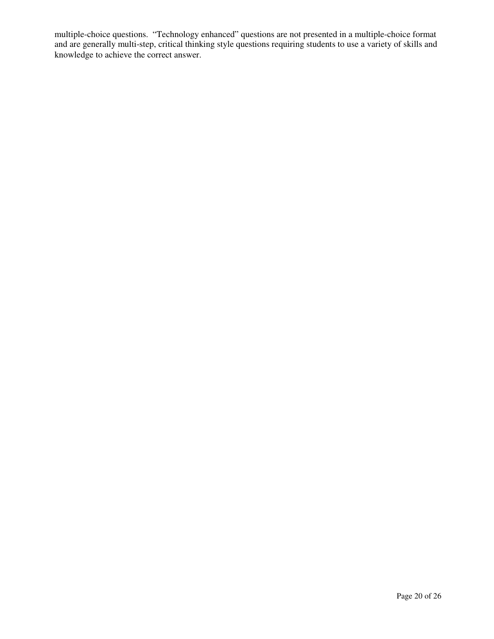multiple-choice questions. "Technology enhanced" questions are not presented in a multiple-choice format and are generally multi-step, critical thinking style questions requiring students to use a variety of skills and knowledge to achieve the correct answer.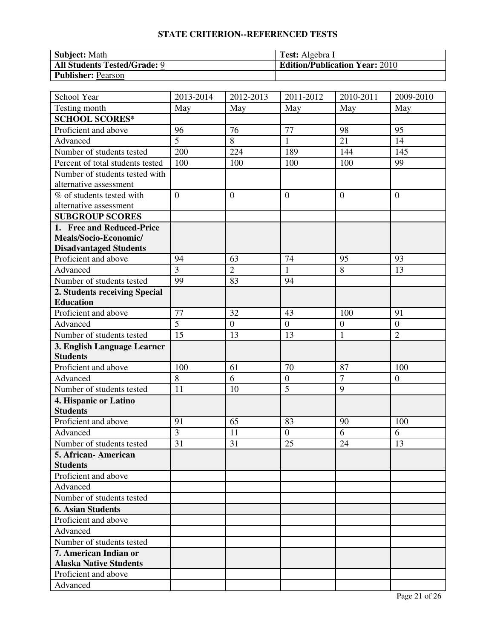# **STATE CRITERION--REFERENCED TESTS**

| <b>Subject: Math</b>                | <b>Test:</b> Algebra I                |
|-------------------------------------|---------------------------------------|
| <b>All Students Tested/Grade: 9</b> | <b>Edition/Publication Year: 2010</b> |
| <b>Publisher: Pearson</b>           |                                       |

| School Year                      | 2013-2014      | 2012-2013      | 2011-2012        | $\overline{20}10 - 2011$ | 2009-2010        |
|----------------------------------|----------------|----------------|------------------|--------------------------|------------------|
| Testing month                    | May            | May            | May              | May                      | May              |
| <b>SCHOOL SCORES*</b>            |                |                |                  |                          |                  |
| Proficient and above             | 96             | 76             | 77               | 98                       | 95               |
| Advanced                         | 5              | 8              | $\mathbf{1}$     | 21                       | 14               |
| Number of students tested        | 200            | 224            | 189              | 144                      | 145              |
| Percent of total students tested | 100            | 100            | 100              | 100                      | 99               |
| Number of students tested with   |                |                |                  |                          |                  |
| alternative assessment           |                |                |                  |                          |                  |
| % of students tested with        | $\overline{0}$ | $\overline{0}$ | $\overline{0}$   | $\overline{0}$           | $\overline{0}$   |
| alternative assessment           |                |                |                  |                          |                  |
| <b>SUBGROUP SCORES</b>           |                |                |                  |                          |                  |
| 1. Free and Reduced-Price        |                |                |                  |                          |                  |
| Meals/Socio-Economic/            |                |                |                  |                          |                  |
| <b>Disadvantaged Students</b>    |                |                |                  |                          |                  |
| Proficient and above             | 94             | 63             | 74               | 95                       | 93               |
| Advanced                         | $\overline{3}$ | $\overline{2}$ | 1                | 8                        | 13               |
| Number of students tested        | 99             | 83             | 94               |                          |                  |
| 2. Students receiving Special    |                |                |                  |                          |                  |
| <b>Education</b>                 |                |                |                  |                          |                  |
| Proficient and above             | 77             | 32             | 43               | 100                      | 91               |
| Advanced                         | 5              | $\mathbf{0}$   | $\boldsymbol{0}$ | $\boldsymbol{0}$         | $\boldsymbol{0}$ |
| Number of students tested        | 15             | 13             | 13               | $\mathbf{1}$             | $\overline{2}$   |
| 3. English Language Learner      |                |                |                  |                          |                  |
| <b>Students</b>                  |                |                |                  |                          |                  |
| Proficient and above             | 100            | 61             | 70               | 87                       | 100              |
| Advanced                         | 8              | 6              | $\boldsymbol{0}$ | $\overline{7}$           | $\overline{0}$   |
| Number of students tested        | 11             | 10             | $\overline{5}$   | 9                        |                  |
| 4. Hispanic or Latino            |                |                |                  |                          |                  |
| <b>Students</b>                  |                |                |                  |                          |                  |
| Proficient and above             | 91             | 65             | 83               | 90                       | 100              |
| Advanced                         | 3              | 11             | $\overline{0}$   | 6                        | 6                |
| Number of students tested        | 31             | 31             | 25               | 24                       | 13               |
| 5. African- American             |                |                |                  |                          |                  |
| <b>Students</b>                  |                |                |                  |                          |                  |
| Proficient and above             |                |                |                  |                          |                  |
| Advanced                         |                |                |                  |                          |                  |
| Number of students tested        |                |                |                  |                          |                  |
| <b>6. Asian Students</b>         |                |                |                  |                          |                  |
| Proficient and above             |                |                |                  |                          |                  |
| Advanced                         |                |                |                  |                          |                  |
| Number of students tested        |                |                |                  |                          |                  |
| 7. American Indian or            |                |                |                  |                          |                  |
| <b>Alaska Native Students</b>    |                |                |                  |                          |                  |
| Proficient and above             |                |                |                  |                          |                  |
| Advanced                         |                |                |                  |                          |                  |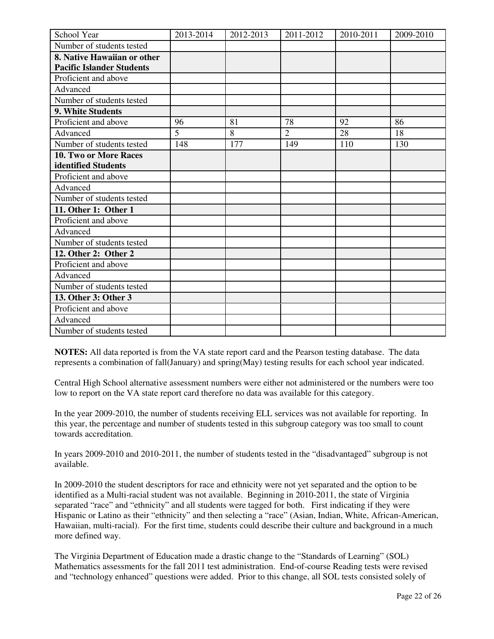| School Year                      | 2013-2014 | 2012-2013 | 2011-2012      | 2010-2011 | 2009-2010 |
|----------------------------------|-----------|-----------|----------------|-----------|-----------|
| Number of students tested        |           |           |                |           |           |
| 8. Native Hawaiian or other      |           |           |                |           |           |
| <b>Pacific Islander Students</b> |           |           |                |           |           |
| Proficient and above             |           |           |                |           |           |
| Advanced                         |           |           |                |           |           |
| Number of students tested        |           |           |                |           |           |
| 9. White Students                |           |           |                |           |           |
| Proficient and above             | 96        | 81        | 78             | 92        | 86        |
| Advanced                         | 5         | 8         | $\overline{2}$ | 28        | 18        |
| Number of students tested        | 148       | 177       | 149            | 110       | 130       |
| <b>10. Two or More Races</b>     |           |           |                |           |           |
| identified Students              |           |           |                |           |           |
| Proficient and above             |           |           |                |           |           |
| Advanced                         |           |           |                |           |           |
| Number of students tested        |           |           |                |           |           |
| 11. Other 1: Other 1             |           |           |                |           |           |
| Proficient and above             |           |           |                |           |           |
| Advanced                         |           |           |                |           |           |
| Number of students tested        |           |           |                |           |           |
| 12. Other 2: Other 2             |           |           |                |           |           |
| Proficient and above             |           |           |                |           |           |
| Advanced                         |           |           |                |           |           |
| Number of students tested        |           |           |                |           |           |
| 13. Other 3: Other 3             |           |           |                |           |           |
| Proficient and above             |           |           |                |           |           |
| Advanced                         |           |           |                |           |           |
| Number of students tested        |           |           |                |           |           |

**NOTES:** All data reported is from the VA state report card and the Pearson testing database. The data represents a combination of fall(January) and spring(May) testing results for each school year indicated.

Central High School alternative assessment numbers were either not administered or the numbers were too low to report on the VA state report card therefore no data was available for this category.

In the year 2009-2010, the number of students receiving ELL services was not available for reporting. In this year, the percentage and number of students tested in this subgroup category was too small to count towards accreditation.

In years 2009-2010 and 2010-2011, the number of students tested in the "disadvantaged" subgroup is not available.

In 2009-2010 the student descriptors for race and ethnicity were not yet separated and the option to be identified as a Multi-racial student was not available. Beginning in 2010-2011, the state of Virginia separated "race" and "ethnicity" and all students were tagged for both. First indicating if they were Hispanic or Latino as their "ethnicity" and then selecting a "race" (Asian, Indian, White, African-American, Hawaiian, multi-racial). For the first time, students could describe their culture and background in a much more defined way.

The Virginia Department of Education made a drastic change to the "Standards of Learning" (SOL) Mathematics assessments for the fall 2011 test administration. End-of-course Reading tests were revised and "technology enhanced" questions were added. Prior to this change, all SOL tests consisted solely of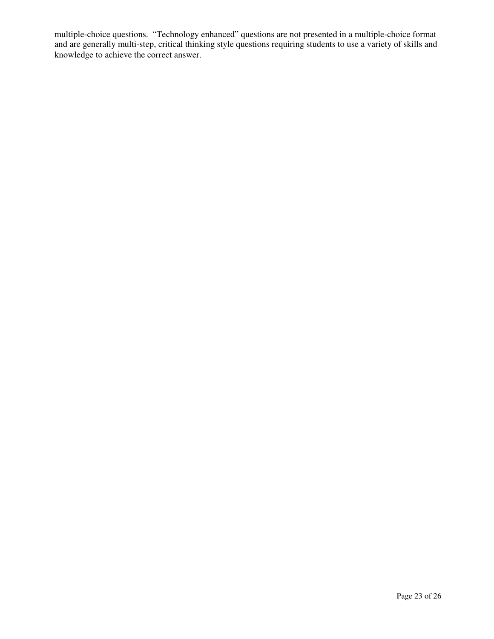multiple-choice questions. "Technology enhanced" questions are not presented in a multiple-choice format and are generally multi-step, critical thinking style questions requiring students to use a variety of skills and knowledge to achieve the correct answer.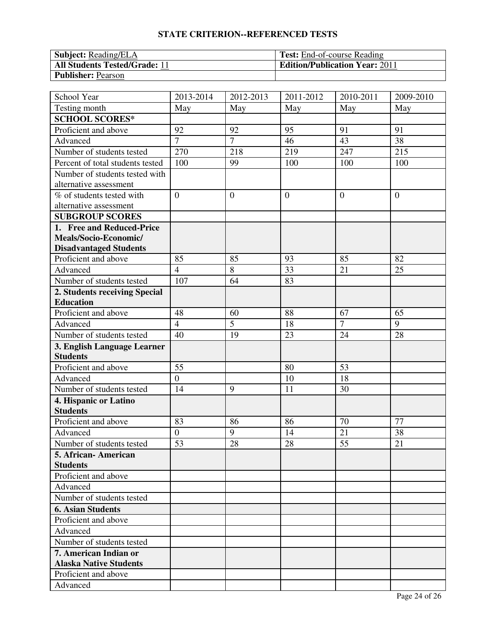# **STATE CRITERION--REFERENCED TESTS**

| <b>Subject:</b> Reading/ELA          | <b>Test:</b> End-of-course Reading    |
|--------------------------------------|---------------------------------------|
| <b>All Students Tested/Grade: 11</b> | <b>Edition/Publication Year: 2011</b> |
| <b>Publisher: Pearson</b>            |                                       |

| School Year                      | 2013-2014      | 2012-2013      | 2011-2012      | $\overline{20}10 - 2011$ | 2009-2010      |
|----------------------------------|----------------|----------------|----------------|--------------------------|----------------|
| Testing month                    | May            | May            | May            | May                      | May            |
| <b>SCHOOL SCORES*</b>            |                |                |                |                          |                |
| Proficient and above             | 92             | 92             | 95             | 91                       | 91             |
| Advanced                         | $\overline{7}$ | $\overline{7}$ | 46             | 43                       | 38             |
| Number of students tested        | 270            | 218            | 219            | 247                      | 215            |
| Percent of total students tested | 100            | 99             | 100            | 100                      | 100            |
| Number of students tested with   |                |                |                |                          |                |
| alternative assessment           |                |                |                |                          |                |
| % of students tested with        | $\overline{0}$ | $\overline{0}$ | $\overline{0}$ | $\overline{0}$           | $\overline{0}$ |
| alternative assessment           |                |                |                |                          |                |
| <b>SUBGROUP SCORES</b>           |                |                |                |                          |                |
| 1. Free and Reduced-Price        |                |                |                |                          |                |
| Meals/Socio-Economic/            |                |                |                |                          |                |
| <b>Disadvantaged Students</b>    |                |                |                |                          |                |
| Proficient and above             | 85             | 85             | 93             | 85                       | 82             |
| Advanced                         | $\overline{4}$ | 8              | 33             | 21                       | 25             |
| Number of students tested        | 107            | 64             | 83             |                          |                |
| 2. Students receiving Special    |                |                |                |                          |                |
| <b>Education</b>                 |                |                |                |                          |                |
| Proficient and above             | 48             | 60             | 88             | 67                       | 65             |
| Advanced                         | $\overline{4}$ | 5              | 18             | $\overline{7}$           | 9              |
| Number of students tested        | 40             | 19             | 23             | 24                       | 28             |
| 3. English Language Learner      |                |                |                |                          |                |
| <b>Students</b>                  |                |                |                |                          |                |
| Proficient and above             | 55             |                | 80             | 53                       |                |
| Advanced                         | $\overline{0}$ |                | 10             | 18                       |                |
| Number of students tested        | 14             | 9              | 11             | 30                       |                |
| 4. Hispanic or Latino            |                |                |                |                          |                |
| <b>Students</b>                  |                |                |                |                          |                |
| Proficient and above             | 83             | 86             | 86             | 70                       | 77             |
| Advanced                         | $\overline{0}$ | 9              | 14             | 21                       | 38             |
| Number of students tested        | 53             | 28             | 28             | 55                       | 21             |
| 5. African- American             |                |                |                |                          |                |
| <b>Students</b>                  |                |                |                |                          |                |
| Proficient and above             |                |                |                |                          |                |
| Advanced                         |                |                |                |                          |                |
| Number of students tested        |                |                |                |                          |                |
| <b>6. Asian Students</b>         |                |                |                |                          |                |
| Proficient and above             |                |                |                |                          |                |
| Advanced                         |                |                |                |                          |                |
| Number of students tested        |                |                |                |                          |                |
| 7. American Indian or            |                |                |                |                          |                |
| <b>Alaska Native Students</b>    |                |                |                |                          |                |
| Proficient and above             |                |                |                |                          |                |
| Advanced                         |                |                |                |                          |                |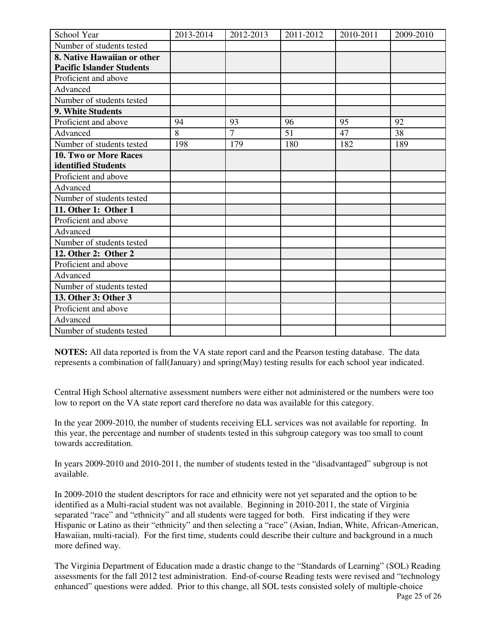| School Year                      | 2013-2014 | 2012-2013      | 2011-2012 | 2010-2011 | 2009-2010 |
|----------------------------------|-----------|----------------|-----------|-----------|-----------|
| Number of students tested        |           |                |           |           |           |
| 8. Native Hawaiian or other      |           |                |           |           |           |
| <b>Pacific Islander Students</b> |           |                |           |           |           |
| Proficient and above             |           |                |           |           |           |
| Advanced                         |           |                |           |           |           |
| Number of students tested        |           |                |           |           |           |
| 9. White Students                |           |                |           |           |           |
| Proficient and above             | 94        | 93             | 96        | 95        | 92        |
| Advanced                         | 8         | $\overline{7}$ | 51        | 47        | 38        |
| Number of students tested        | 198       | 179            | 180       | 182       | 189       |
| <b>10. Two or More Races</b>     |           |                |           |           |           |
| identified Students              |           |                |           |           |           |
| Proficient and above             |           |                |           |           |           |
| Advanced                         |           |                |           |           |           |
| Number of students tested        |           |                |           |           |           |
| 11. Other 1: Other 1             |           |                |           |           |           |
| Proficient and above             |           |                |           |           |           |
| Advanced                         |           |                |           |           |           |
| Number of students tested        |           |                |           |           |           |
| 12. Other 2: Other 2             |           |                |           |           |           |
| Proficient and above             |           |                |           |           |           |
| Advanced                         |           |                |           |           |           |
| Number of students tested        |           |                |           |           |           |
| 13. Other 3: Other 3             |           |                |           |           |           |
| Proficient and above             |           |                |           |           |           |
| Advanced                         |           |                |           |           |           |
| Number of students tested        |           |                |           |           |           |

**NOTES:** All data reported is from the VA state report card and the Pearson testing database. The data represents a combination of fall(January) and spring(May) testing results for each school year indicated.

Central High School alternative assessment numbers were either not administered or the numbers were too low to report on the VA state report card therefore no data was available for this category.

In the year 2009-2010, the number of students receiving ELL services was not available for reporting. In this year, the percentage and number of students tested in this subgroup category was too small to count towards accreditation.

In years 2009-2010 and 2010-2011, the number of students tested in the "disadvantaged" subgroup is not available.

In 2009-2010 the student descriptors for race and ethnicity were not yet separated and the option to be identified as a Multi-racial student was not available. Beginning in 2010-2011, the state of Virginia separated "race" and "ethnicity" and all students were tagged for both. First indicating if they were Hispanic or Latino as their "ethnicity" and then selecting a "race" (Asian, Indian, White, African-American, Hawaiian, multi-racial). For the first time, students could describe their culture and background in a much more defined way.

The Virginia Department of Education made a drastic change to the "Standards of Learning" (SOL) Reading assessments for the fall 2012 test administration. End-of-course Reading tests were revised and "technology enhanced" questions were added. Prior to this change, all SOL tests consisted solely of multiple-choice